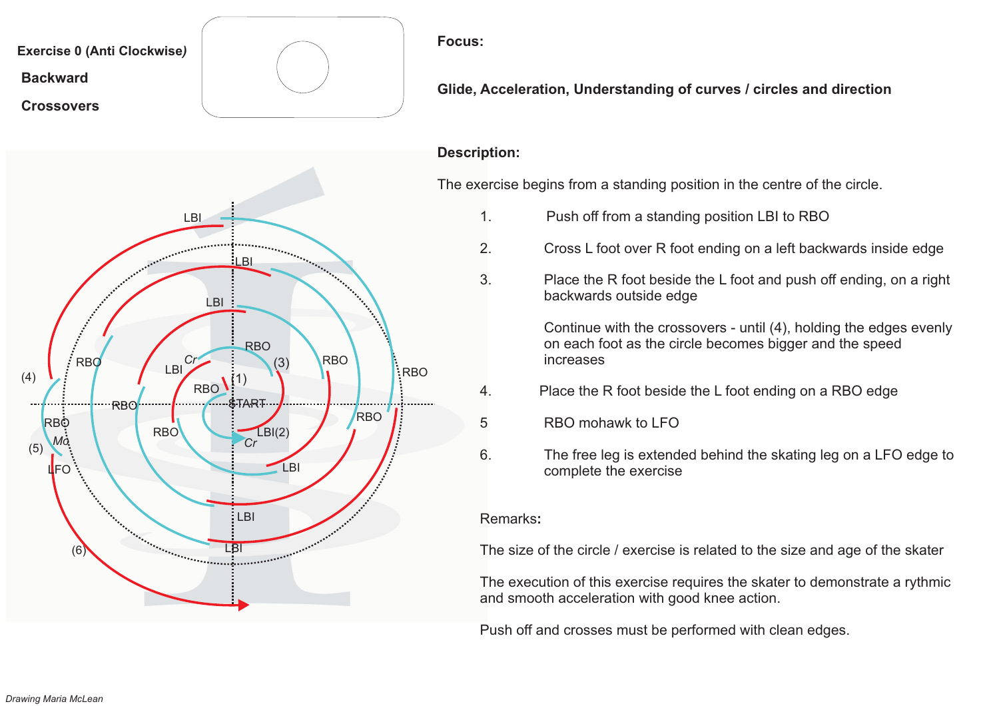

**Glide, Acceleration, Understanding of curves / circles and direction**

#### **Description:**

The exercise begins from <sup>a</sup> standing position in the centre of the circle.

- 1. Push off from <sup>a</sup> standing position LBI to RBO
- 2. Cross L foot over R foot ending on <sup>a</sup> left backwards inside edge
- 3. Place the R foot beside the L foot and push off ending, on <sup>a</sup> right backwards outside edge

Continue with the crossovers - until (4), holding the edges evenly on each foot as the circle becomes bigger and the speed increases

- 4. Place the R foot beside the L foot ending on <sup>a</sup> RBO edge
- 5 RBO mohawk to LFO
- 6. The free leg is extended behind the skating leg on <sup>a</sup> LFO edge to complete the exercise

#### Remarks**:**

The size of the circle / exercise is related to the size and age of the skater

The execution of this exercise requires the skater to demonstrate <sup>a</sup> rythmic and smooth acceleration with good knee action.

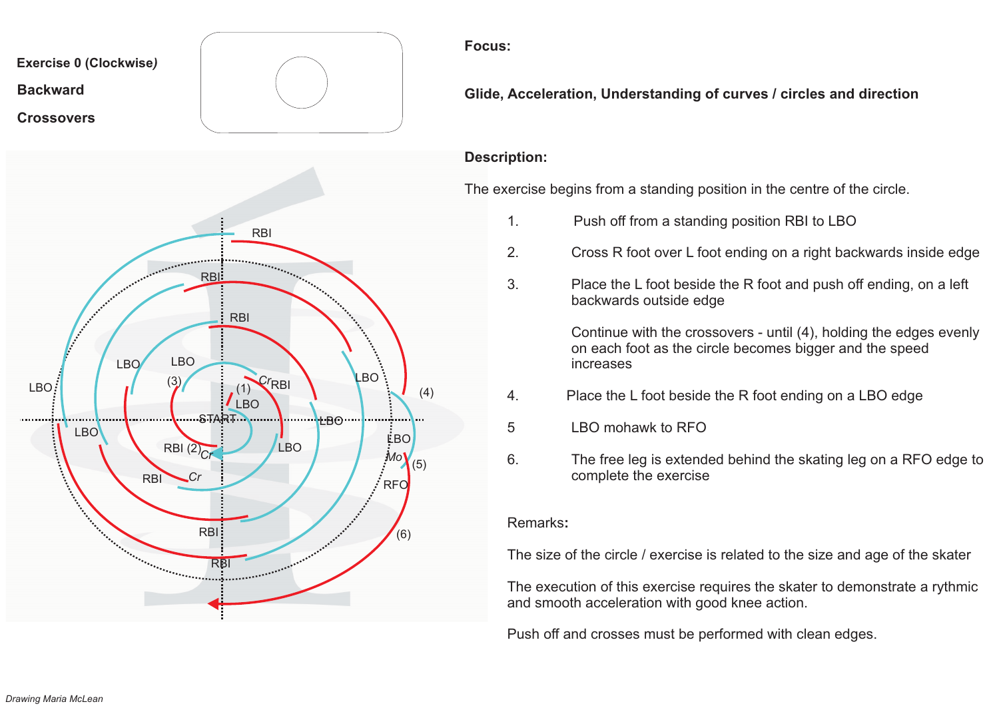

**Glide, Acceleration, Understanding of curves / circles and direction**

## **Description:**

The exercise begins from <sup>a</sup> standing position in the centre of the circle.

- 1. Push off from <sup>a</sup> standing position RBI to LBO
- 2. Cross R foot over L foot ending on <sup>a</sup> right backwards inside edge
- 3. Place the L foot beside the R foot and push off ending, on <sup>a</sup> left backwards outside edge

Continue with the crossovers - until (4), holding the edges evenly on each foot as the circle becomes bigger and the speed increases

- 4. Place the L foot beside the R foot ending on <sup>a</sup> LBO edge
- 5 LBO mohawk to RFO
- 6. The free leg is extended behind the skating leg on <sup>a</sup> RFO edge to complete the exercise

#### Remarks**:**

The size of the circle / exercise is related to the size and age of the skater

The execution of this exercise requires the skater to demonstrate <sup>a</sup> rythmic and smooth acceleration with good knee action.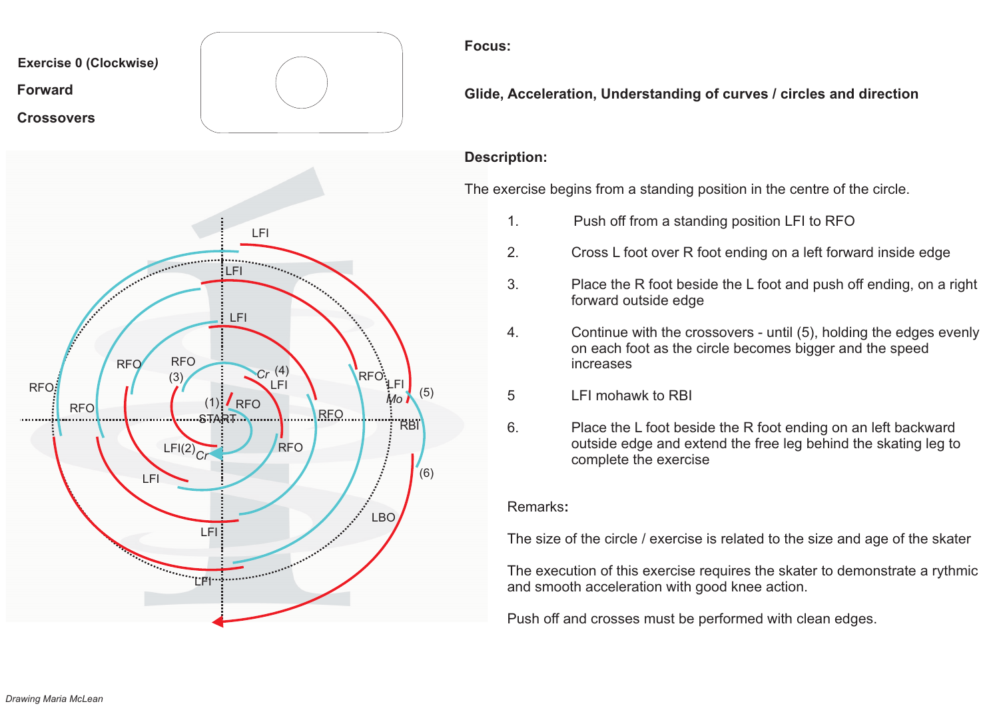

**Glide, Acceleration, Understanding of curves / circles and direction**

# **Description:**

The exercise begins from <sup>a</sup> standing position in the centre of the circle.

- 1. Push off from <sup>a</sup> standing position LFI to RFO
- 2. Cross L foot over R foot ending on <sup>a</sup> left forward inside edge
- 3. Place the R foot beside the L foot and push off ending, on <sup>a</sup> right forward outside edge
- 4. Continue with the crossovers until (5), holding the edges evenly on each foot as the circle becomes bigger and the speed increases
- 5 LFI mohawk to RBI
- 6. Place the L foot beside the R foot ending on an left backward outside edge and extend the free leg behind the skating leg to complete the exercise

### Remarks**:**

The size of the circle / exercise is related to the size and age of the skater

The execution of this exercise requires the skater to demonstrate <sup>a</sup> rythmic and smooth acceleration with good knee action.